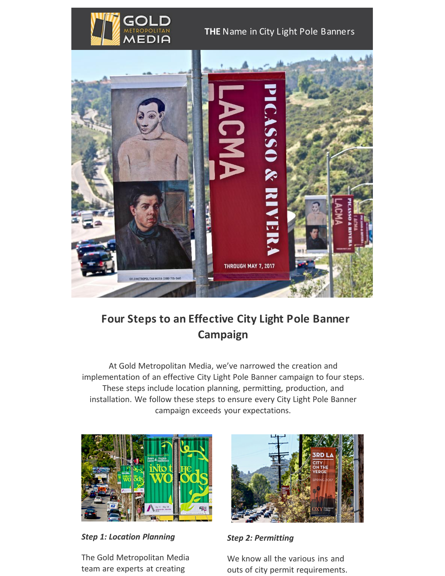

### **THE** Name in City Light Pole Banners



## **Four Steps to an Effective City Light Pole Banner Campaign**

At Gold Metropolitan Media, we've narrowed the creation and implementation of an effective City Light Pole Banner campaign to four steps. These steps include location planning, permitting, production, and installation. We follow these steps to ensure every City Light Pole Banner campaign exceeds your expectations.



*Step 1: Location Planning*

The Gold Metropolitan Media team are experts at creating



*Step 2: Permitting*

We know all the various ins and outs of city permit requirements.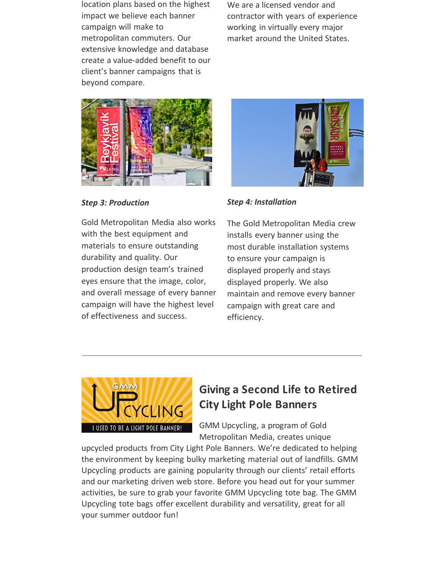location plans based on the highest impact we believe each banner campaign will make to metropolitan commuters. Our extensive knowledge and database create a value-added benefit to our client's banner campaigns that is beyond compare.

We are a licensed vendor and contractor with years of experience working in virtually every major market around the United States.



#### *Step 3: Production*

Gold Metropolitan Media also works with the best equipment and materials to ensure outstanding durability and quality. Our production design team's trained eyes ensure that the image, color, and overall message of every banner campaign will have the highest level of effectiveness and success.



#### *Step 4: Installation*

The Gold Metropolitan Media crew installs every banner using the most durable installation systems to ensure your campaign is displayed properly and stays displayed properly. We also maintain and remove every banner campaign with great care and efficiency.



# **Giving a Second Life to Retired City Light Pole Banners**

GMM Upcycling, a program of Gold Metropolitan Media, creates unique

upcycled products from City Light Pole Banners. We're dedicated to helping the environment by keeping bulky marketing material out of landfills. GMM Upcycling products are gaining popularity through our clients' retail efforts and our marketing driven web store. Before you head out for your summer activities, be sure to grab your favorite GMM Upcycling tote bag. The GMM Upcycling tote bags offer excellent durability and versatility, great for all your summer outdoor fun!